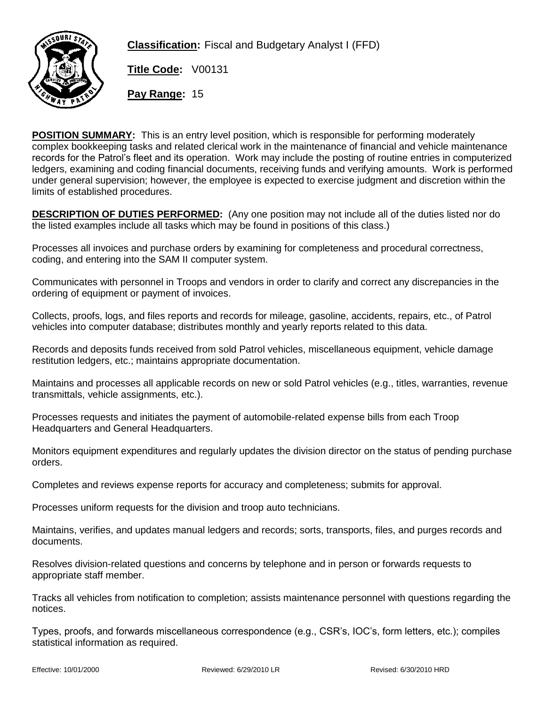

**Classification:** Fiscal and Budgetary Analyst I (FFD)

**Title Code:** V00131

**Pay Range:** 15

**POSITION SUMMARY:** This is an entry level position, which is responsible for performing moderately complex bookkeeping tasks and related clerical work in the maintenance of financial and vehicle maintenance records for the Patrol's fleet and its operation. Work may include the posting of routine entries in computerized ledgers, examining and coding financial documents, receiving funds and verifying amounts. Work is performed under general supervision; however, the employee is expected to exercise judgment and discretion within the limits of established procedures.

**DESCRIPTION OF DUTIES PERFORMED:** (Any one position may not include all of the duties listed nor do the listed examples include all tasks which may be found in positions of this class.)

Processes all invoices and purchase orders by examining for completeness and procedural correctness, coding, and entering into the SAM II computer system.

Communicates with personnel in Troops and vendors in order to clarify and correct any discrepancies in the ordering of equipment or payment of invoices.

Collects, proofs, logs, and files reports and records for mileage, gasoline, accidents, repairs, etc., of Patrol vehicles into computer database; distributes monthly and yearly reports related to this data.

Records and deposits funds received from sold Patrol vehicles, miscellaneous equipment, vehicle damage restitution ledgers, etc.; maintains appropriate documentation.

Maintains and processes all applicable records on new or sold Patrol vehicles (e.g., titles, warranties, revenue transmittals, vehicle assignments, etc.).

Processes requests and initiates the payment of automobile-related expense bills from each Troop Headquarters and General Headquarters.

Monitors equipment expenditures and regularly updates the division director on the status of pending purchase orders.

Completes and reviews expense reports for accuracy and completeness; submits for approval.

Processes uniform requests for the division and troop auto technicians.

Maintains, verifies, and updates manual ledgers and records; sorts, transports, files, and purges records and documents.

Resolves division-related questions and concerns by telephone and in person or forwards requests to appropriate staff member.

Tracks all vehicles from notification to completion; assists maintenance personnel with questions regarding the notices.

Types, proofs, and forwards miscellaneous correspondence (e.g., CSR's, IOC's, form letters, etc.); compiles statistical information as required.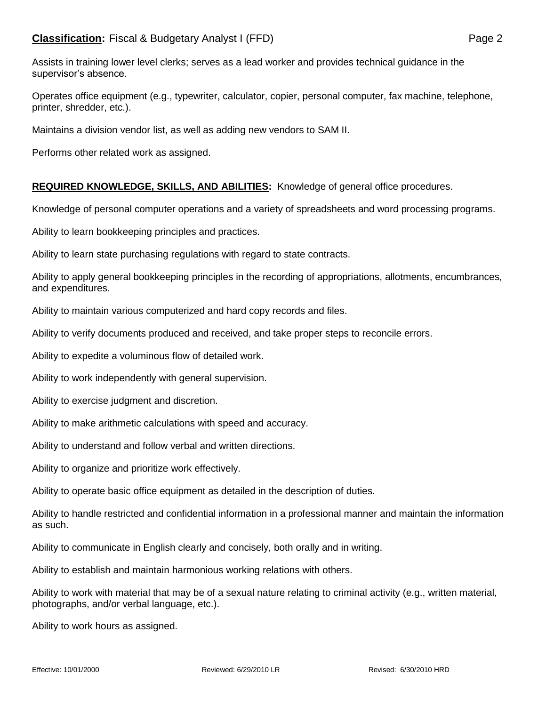Operates office equipment (e.g., typewriter, calculator, copier, personal computer, fax machine, telephone, printer, shredder, etc.).

Maintains a division vendor list, as well as adding new vendors to SAM II.

Performs other related work as assigned.

## **REQUIRED KNOWLEDGE, SKILLS, AND ABILITIES:** Knowledge of general office procedures.

Knowledge of personal computer operations and a variety of spreadsheets and word processing programs.

Ability to learn bookkeeping principles and practices.

Ability to learn state purchasing regulations with regard to state contracts.

Ability to apply general bookkeeping principles in the recording of appropriations, allotments, encumbrances, and expenditures.

Ability to maintain various computerized and hard copy records and files.

Ability to verify documents produced and received, and take proper steps to reconcile errors.

Ability to expedite a voluminous flow of detailed work.

Ability to work independently with general supervision.

Ability to exercise judgment and discretion.

Ability to make arithmetic calculations with speed and accuracy.

Ability to understand and follow verbal and written directions.

Ability to organize and prioritize work effectively.

Ability to operate basic office equipment as detailed in the description of duties.

Ability to handle restricted and confidential information in a professional manner and maintain the information as such.

Ability to communicate in English clearly and concisely, both orally and in writing.

Ability to establish and maintain harmonious working relations with others.

Ability to work with material that may be of a sexual nature relating to criminal activity (e.g., written material, photographs, and/or verbal language, etc.).

Ability to work hours as assigned.